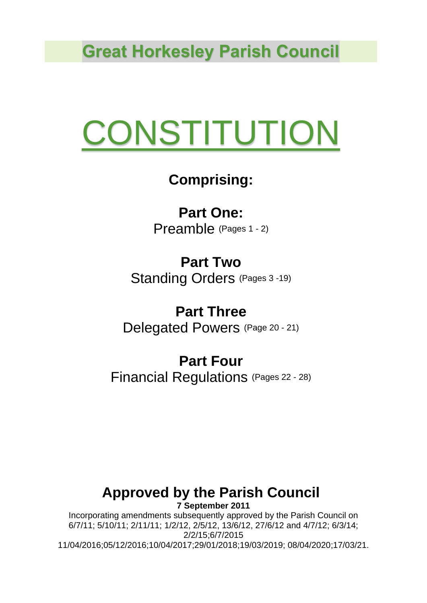**Great Horkesley Parish Council**

# **CONSTITUTION**

# **Comprising:**

**Part One:** Preamble (Pages 1 - 2)

**Part Two** Standing Orders (Pages 3 -19)

**Part Three** Delegated Powers (Page <sup>20</sup> - 21)

# **Part Four**

Financial Regulations (Pages 22 - 28)

#### **Approved by the Parish Council 7 September 2011**

Incorporating amendments subsequently approved by the Parish Council on 6/7/11; 5/10/11; 2/11/11; 1/2/12, 2/5/12, 13/6/12, 27/6/12 and 4/7/12; 6/3/14; 2/2/15;6/7/2015 11/04/2016;05/12/2016;10/04/2017;29/01/2018;19/03/2019; 08/04/2020;17/03/21.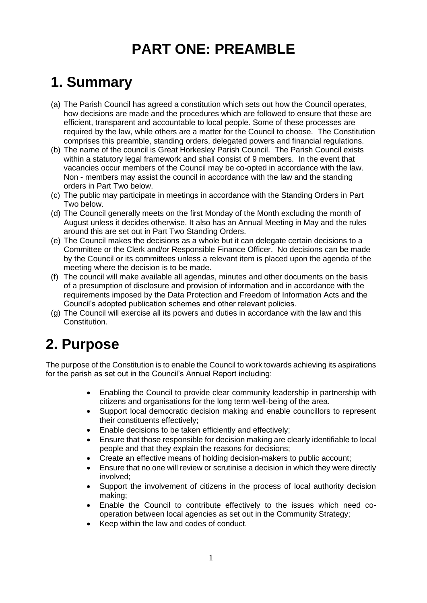# **PART ONE: PREAMBLE**

## **1. Summary**

- (a) The Parish Council has agreed a constitution which sets out how the Council operates, how decisions are made and the procedures which are followed to ensure that these are efficient, transparent and accountable to local people. Some of these processes are required by the law, while others are a matter for the Council to choose. The Constitution comprises this preamble, standing orders, delegated powers and financial regulations.
- (b) The name of the council is Great Horkesley Parish Council. The Parish Council exists within a statutory legal framework and shall consist of 9 members. In the event that vacancies occur members of the Council may be co-opted in accordance with the law. Non - members may assist the council in accordance with the law and the standing orders in Part Two below.
- (c) The public may participate in meetings in accordance with the Standing Orders in Part Two below.
- (d) The Council generally meets on the first Monday of the Month excluding the month of August unless it decides otherwise. It also has an Annual Meeting in May and the rules around this are set out in Part Two Standing Orders.
- (e) The Council makes the decisions as a whole but it can delegate certain decisions to a Committee or the Clerk and/or Responsible Finance Officer. No decisions can be made by the Council or its committees unless a relevant item is placed upon the agenda of the meeting where the decision is to be made.
- (f) The council will make available all agendas, minutes and other documents on the basis of a presumption of disclosure and provision of information and in accordance with the requirements imposed by the Data Protection and Freedom of Information Acts and the Council's adopted publication schemes and other relevant policies.
- (g) The Council will exercise all its powers and duties in accordance with the law and this Constitution.

## **2. Purpose**

The purpose of the Constitution is to enable the Council to work towards achieving its aspirations for the parish as set out in the Council's Annual Report including:

- Enabling the Council to provide clear community leadership in partnership with citizens and organisations for the long term well-being of the area.
- Support local democratic decision making and enable councillors to represent their constituents effectively;
- Enable decisions to be taken efficiently and effectively;
- Ensure that those responsible for decision making are clearly identifiable to local people and that they explain the reasons for decisions;
- Create an effective means of holding decision-makers to public account;
- Ensure that no one will review or scrutinise a decision in which they were directly involved;
- Support the involvement of citizens in the process of local authority decision making;
- Enable the Council to contribute effectively to the issues which need cooperation between local agencies as set out in the Community Strategy;
- Keep within the law and codes of conduct.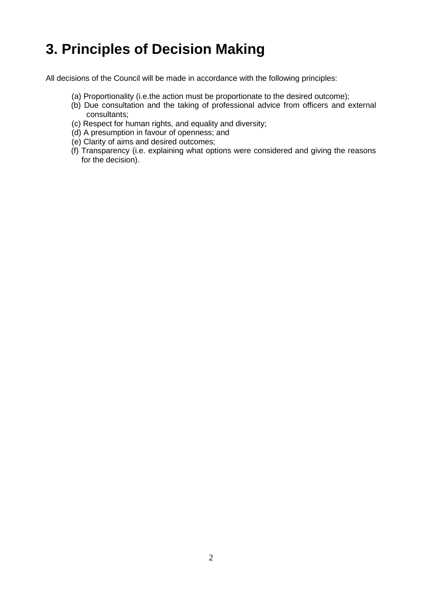# **3. Principles of Decision Making**

All decisions of the Council will be made in accordance with the following principles:

- (a) Proportionality (i.e.the action must be proportionate to the desired outcome);
- (b) Due consultation and the taking of professional advice from officers and external consultants;
- (c) Respect for human rights, and equality and diversity;
- (d) A presumption in favour of openness; and
- (e) Clarity of aims and desired outcomes;
- (f) Transparency (i.e. explaining what options were considered and giving the reasons for the decision).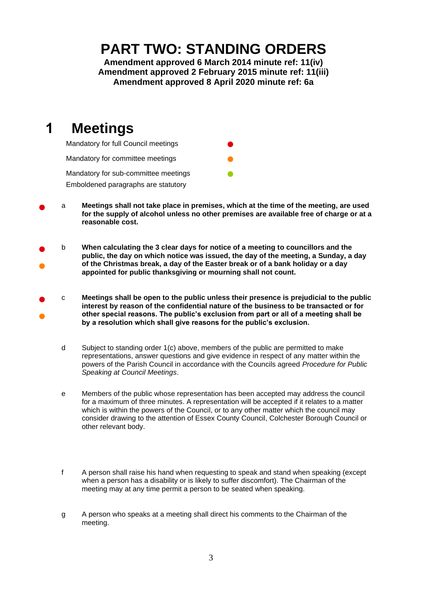#### **PART TWO: STANDING ORDERS**

**Amendment approved 6 March 2014 minute ref: 11(iv) Amendment approved 2 February 2015 minute ref: 11(iii) Amendment approved 8 April 2020 minute ref: 6a**

## **1 Meetings**



- a Meetings shall not take place in premises, which at the time of the meeting, are used **for the supply of alcohol unless no other premises are available free of charge or at a reasonable cost.**
- ● b **When calculating the 3 clear days for notice of a meeting to councillors and the public, the day on which notice was issued, the day of the meeting, a Sunday, a day of the Christmas break, a day of the Easter break or of a bank holiday or a day appointed for public thanksgiving or mourning shall not count.**
- ● c **Meetings shall be open to the public unless their presence is prejudicial to the public interest by reason of the confidential nature of the business to be transacted or for other special reasons. The public's exclusion from part or all of a meeting shall be by a resolution which shall give reasons for the public's exclusion.**
	- d Subject to standing order 1(c) above, members of the public are permitted to make representations, answer questions and give evidence in respect of any matter within the powers of the Parish Council in accordance with the Councils agreed *Procedure for Public Speaking at Council Meetings*.
	- e Members of the public whose representation has been accepted may address the council for a maximum of three minutes. A representation will be accepted if it relates to a matter which is within the powers of the Council, or to any other matter which the council may consider drawing to the attention of Essex County Council, Colchester Borough Council or other relevant body.
	- f A person shall raise his hand when requesting to speak and stand when speaking (except when a person has a disability or is likely to suffer discomfort). The Chairman of the meeting may at any time permit a person to be seated when speaking.
	- g A person who speaks at a meeting shall direct his comments to the Chairman of the meeting.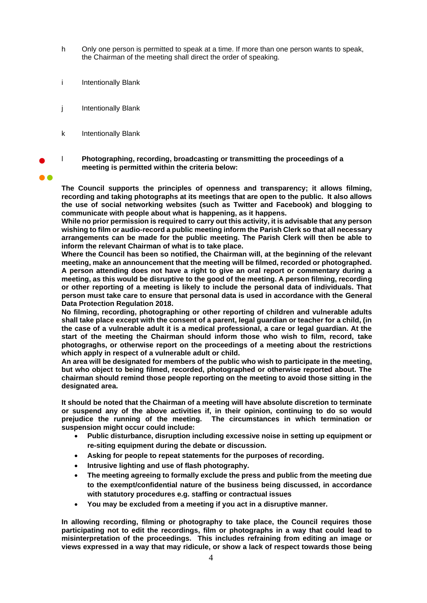- h Only one person is permitted to speak at a time. If more than one person wants to speak, the Chairman of the meeting shall direct the order of speaking.
- i Intentionally Blank
- j Intentionally Blank
- k Intentionally Blank
- l **Photographing, recording, broadcasting or transmitting the proceedings of a meeting is permitted within the criteria below:**
- ●●

**The Council supports the principles of openness and transparency; it allows filming, recording and taking photographs at its meetings that are open to the public. It also allows the use of social networking websites (such as Twitter and Facebook) and blogging to communicate with people about what is happening, as it happens.** 

**While no prior permission is required to carry out this activity, it is advisable that any person wishing to film or audio-record a public meeting inform the Parish Clerk so that all necessary arrangements can be made for the public meeting. The Parish Clerk will then be able to inform the relevant Chairman of what is to take place.** 

**Where the Council has been so notified, the Chairman will, at the beginning of the relevant meeting, make an announcement that the meeting will be filmed, recorded or photographed. A person attending does not have a right to give an oral report or commentary during a meeting, as this would be disruptive to the good of the meeting. A person filming, recording or other reporting of a meeting is likely to include the personal data of individuals. That person must take care to ensure that personal data is used in accordance with the General Data Protection Regulation 2018.**

**No filming, recording, photographing or other reporting of children and vulnerable adults shall take place except with the consent of a parent, legal guardian or teacher for a child, (in the case of a vulnerable adult it is a medical professional, a care or legal guardian. At the start of the meeting the Chairman should inform those who wish to film, record, take photograghs, or otherwise report on the proceedings of a meeting about the restrictions which apply in respect of a vulnerable adult or child.**

**An area will be designated for members of the public who wish to participate in the meeting, but who object to being filmed, recorded, photographed or otherwise reported about. The chairman should remind those people reporting on the meeting to avoid those sitting in the designated area.**

**It should be noted that the Chairman of a meeting will have absolute discretion to terminate or suspend any of the above activities if, in their opinion, continuing to do so would prejudice the running of the meeting. The circumstances in which termination or suspension might occur could include:** 

- **Public disturbance, disruption including excessive noise in setting up equipment or re-siting equipment during the debate or discussion.**
- **Asking for people to repeat statements for the purposes of recording.**
- **Intrusive lighting and use of flash photography.**
- **The meeting agreeing to formally exclude the press and public from the meeting due to the exempt/confidential nature of the business being discussed, in accordance with statutory procedures e.g. staffing or contractual issues**
- **You may be excluded from a meeting if you act in a disruptive manner.**

**In allowing recording, filming or photography to take place, the Council requires those participating not to edit the recordings, film or photographs in a way that could lead to misinterpretation of the proceedings. This includes refraining from editing an image or views expressed in a way that may ridicule, or show a lack of respect towards those being**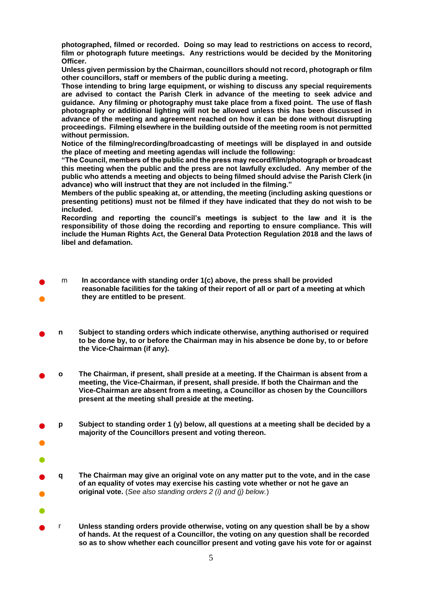**photographed, filmed or recorded. Doing so may lead to restrictions on access to record, film or photograph future meetings. Any restrictions would be decided by the Monitoring Officer.**

**Unless given permission by the Chairman, councillors should not record, photograph or film other councillors, staff or members of the public during a meeting.**

**Those intending to bring large equipment, or wishing to discuss any special requirements are advised to contact the Parish Clerk in advance of the meeting to seek advice and guidance. Any filming or photography must take place from a fixed point. The use of flash photography or additional lighting will not be allowed unless this has been discussed in advance of the meeting and agreement reached on how it can be done without disrupting proceedings. Filming elsewhere in the building outside of the meeting room is not permitted without permission.**

**Notice of the filming/recording/broadcasting of meetings will be displayed in and outside the place of meeting and meeting agendas will include the following:**

**"The Council, members of the public and the press may record/film/photograph or broadcast this meeting when the public and the press are not lawfully excluded. Any member of the public who attends a meeting and objects to being filmed should advise the Parish Clerk (in advance) who will instruct that they are not included in the filming."**

**Members of the public speaking at, or attending, the meeting (including asking questions or presenting petitions) must not be filmed if they have indicated that they do not wish to be included.**

**Recording and reporting the council's meetings is subject to the law and it is the responsibility of those doing the recording and reporting to ensure compliance. This will include the Human Rights Act, the General Data Protection Regulation 2018 and the laws of libel and defamation.**

- ● m **In accordance with standing order 1(c) above, the press shall be provided reasonable facilities for the taking of their report of all or part of a meeting at which they are entitled to be present**.
- **<sup>n</sup> Subject to standing orders which indicate otherwise, anything authorised or required to be done by, to or before the Chairman may in his absence be done by, to or before the Vice-Chairman (if any).**
- **<sup>o</sup> The Chairman, if present, shall preside at a meeting. If the Chairman is absent from a meeting, the Vice-Chairman, if present, shall preside. If both the Chairman and the Vice-Chairman are absent from a meeting, a Councillor as chosen by the Councillors present at the meeting shall preside at the meeting.**
- **p Subject to standing order 1 (y) below, all questions at a meeting shall be decided by a majority of the Councillors present and voting thereon.**
- ● ● **q The Chairman may give an original vote on any matter put to the vote, and in the case**

●

●

- **of an equality of votes may exercise his casting vote whether or not he gave an original vote.** (*See also standing orders 2 (i) and (j) below.*)
- <sup>r</sup> **Unless standing orders provide otherwise, voting on any question shall be by a show of hands. At the request of a Councillor, the voting on any question shall be recorded so as to show whether each councillor present and voting gave his vote for or against**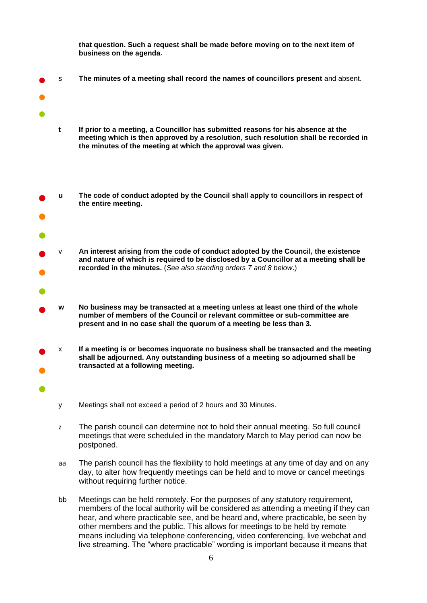**that question. Such a request shall be made before moving on to the next item of business on the agenda**.

- s **The minutes of a meeting shall record the names of councillors present** and absent.
- ●

●

●

- **t If prior to a meeting, a Councillor has submitted reasons for his absence at the meeting which is then approved by a resolution, such resolution shall be recorded in the minutes of the meeting at which the approval was given.**
- ● **u The code of conduct adopted by the Council shall apply to councillors in respect of the entire meeting.**
- ● v **An interest arising from the code of conduct adopted by the Council, the existence and nature of which is required to be disclosed by a Councillor at a meeting shall be recorded in the minutes.** (*See also standing orders 7 and 8 below*.)
- ●
	- **w No business may be transacted at a meeting unless at least one third of the whole number of members of the Council or relevant committee or sub-committee are present and in no case shall the quorum of a meeting be less than 3.**
- ● x **If a meeting is or becomes inquorate no business shall be transacted and the meeting shall be adjourned. Any outstanding business of a meeting so adjourned shall be transacted at a following meeting.**
	- y Meetings shall not exceed a period of 2 hours and 30 Minutes.
	- z The parish council can determine not to hold their annual meeting. So full council meetings that were scheduled in the mandatory March to May period can now be postponed.
	- aa The parish council has the flexibility to hold meetings at any time of day and on any day, to alter how frequently meetings can be held and to move or cancel meetings without requiring further notice.
	- bb Meetings can be held remotely. For the purposes of any statutory requirement, members of the local authority will be considered as attending a meeting if they can hear, and where practicable see, and be heard and, where practicable, be seen by other members and the public. This allows for meetings to be held by remote means including via telephone conferencing, video conferencing, live webchat and live streaming. The "where practicable" wording is important because it means that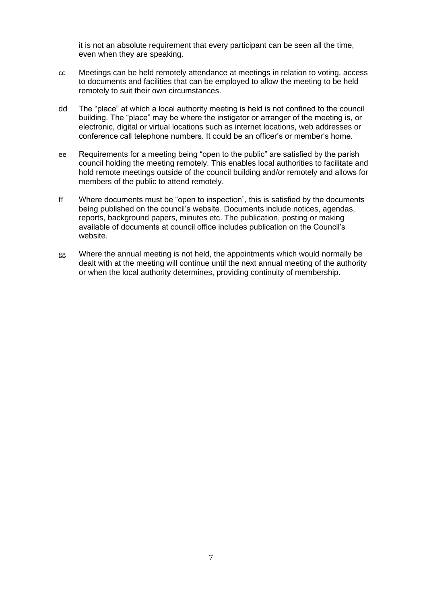it is not an absolute requirement that every participant can be seen all the time, even when they are speaking.

- cc Meetings can be held remotely attendance at meetings in relation to voting, access to documents and facilities that can be employed to allow the meeting to be held remotely to suit their own circumstances.
- dd The "place" at which a local authority meeting is held is not confined to the council building. The "place" may be where the instigator or arranger of the meeting is, or electronic, digital or virtual locations such as internet locations, web addresses or conference call telephone numbers. It could be an officer's or member's home.
- ee Requirements for a meeting being "open to the public" are satisfied by the parish council holding the meeting remotely. This enables local authorities to facilitate and hold remote meetings outside of the council building and/or remotely and allows for members of the public to attend remotely.
- ff Where documents must be "open to inspection", this is satisfied by the documents being published on the council's website. Documents include notices, agendas, reports, background papers, minutes etc. The publication, posting or making available of documents at council office includes publication on the Council's website.
- gg Where the annual meeting is not held, the appointments which would normally be dealt with at the meeting will continue until the next annual meeting of the authority or when the local authority determines, providing continuity of membership.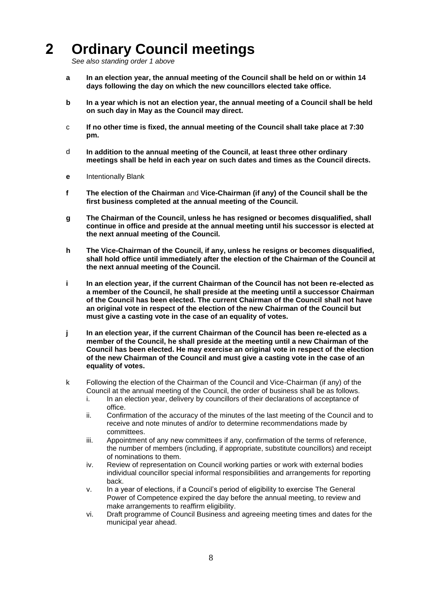# **2 Ordinary Council meetings**

*See also standing order 1 above*

- **a In an election year, the annual meeting of the Council shall be held on or within 14 days following the day on which the new councillors elected take office.**
- **b In a year which is not an election year, the annual meeting of a Council shall be held on such day in May as the Council may direct.**
- c **If no other time is fixed, the annual meeting of the Council shall take place at 7:30 pm.**
- d **In addition to the annual meeting of the Council, at least three other ordinary meetings shall be held in each year on such dates and times as the Council directs.**
- **e** Intentionally Blank
- **f The election of the Chairman** and **Vice-Chairman (if any) of the Council shall be the first business completed at the annual meeting of the Council.**
- **g The Chairman of the Council, unless he has resigned or becomes disqualified, shall continue in office and preside at the annual meeting until his successor is elected at the next annual meeting of the Council.**
- **h The Vice-Chairman of the Council, if any, unless he resigns or becomes disqualified, shall hold office until immediately after the election of the Chairman of the Council at the next annual meeting of the Council.**
- **i In an election year, if the current Chairman of the Council has not been re-elected as a member of the Council, he shall preside at the meeting until a successor Chairman of the Council has been elected. The current Chairman of the Council shall not have an original vote in respect of the election of the new Chairman of the Council but must give a casting vote in the case of an equality of votes.**
- **j In an election year, if the current Chairman of the Council has been re-elected as a member of the Council, he shall preside at the meeting until a new Chairman of the Council has been elected. He may exercise an original vote in respect of the election of the new Chairman of the Council and must give a casting vote in the case of an equality of votes.**
- k Following the election of the Chairman of the Council and Vice-Chairman (if any) of the Council at the annual meeting of the Council, the order of business shall be as follows.
	- i. In an election year, delivery by councillors of their declarations of acceptance of office.
	- ii. Confirmation of the accuracy of the minutes of the last meeting of the Council and to receive and note minutes of and/or to determine recommendations made by committees.
	- iii. Appointment of any new committees if any, confirmation of the terms of reference, the number of members (including, if appropriate, substitute councillors) and receipt of nominations to them.
	- iv. Review of representation on Council working parties or work with external bodies individual councillor special informal responsibilities and arrangements for reporting back.
	- v. In a year of elections, if a Council's period of eligibility to exercise The General Power of Competence expired the day before the annual meeting, to review and make arrangements to reaffirm eligibility.
	- vi. Draft programme of Council Business and agreeing meeting times and dates for the municipal year ahead.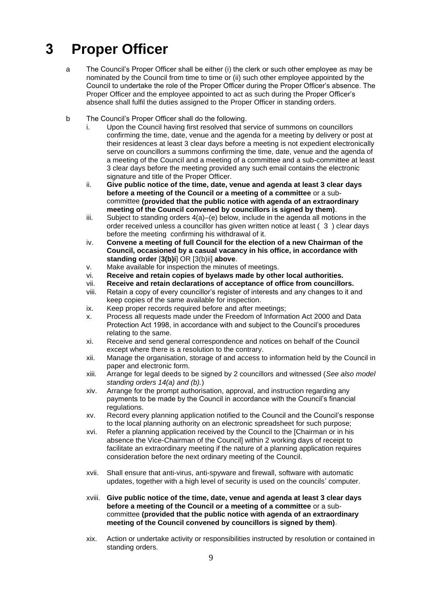# **3 Proper Officer**

- a The Council's Proper Officer shall be either (i) the clerk or such other employee as may be nominated by the Council from time to time or (ii) such other employee appointed by the Council to undertake the role of the Proper Officer during the Proper Officer's absence. The Proper Officer and the employee appointed to act as such during the Proper Officer's absence shall fulfil the duties assigned to the Proper Officer in standing orders.
- b The Council's Proper Officer shall do the following.
	- i. Upon the Council having first resolved that service of summons on councillors confirming the time, date, venue and the agenda for a meeting by delivery or post at their residences at least 3 clear days before a meeting is not expedient electronically serve on councillors a summons confirming the time, date, venue and the agenda of a meeting of the Council and a meeting of a committee and a sub-committee at least 3 clear days before the meeting provided any such email contains the electronic signature and title of the Proper Officer.
	- ii. **Give public notice of the time, date, venue and agenda at least 3 clear days before a meeting of the Council or a meeting of a committee** or a subcommittee **(provided that the public notice with agenda of an extraordinary meeting of the Council convened by councillors is signed by them)**.
	- iii. Subject to standing orders 4(a)–(e) below, include in the agenda all motions in the order received unless a councillor has given written notice at least ( 3 ) clear days before the meeting confirming his withdrawal of it.
	- iv. **Convene a meeting of full Council for the election of a new Chairman of the Council, occasioned by a casual vacancy in his office, in accordance with standing order** [**3(b)i**] OR [3(b)ii] **above**.
	- v. Make available for inspection the minutes of meetings.
	- vi. **Receive and retain copies of byelaws made by other local authorities.**
	- vii. **Receive and retain declarations of acceptance of office from councillors.**
	- viii. Retain a copy of every councillor's register of interests and any changes to it and keep copies of the same available for inspection.
	- ix. Keep proper records required before and after meetings;
	- x. Process all requests made under the Freedom of Information Act 2000 and Data Protection Act 1998, in accordance with and subject to the Council's procedures relating to the same.
	- xi. Receive and send general correspondence and notices on behalf of the Council except where there is a resolution to the contrary.
	- xii. Manage the organisation, storage of and access to information held by the Council in paper and electronic form.
	- xiii. Arrange for legal deeds to be signed by 2 councillors and witnessed (*See also model standing orders 14(a) and (b).*)
	- xiv. Arrange for the prompt authorisation, approval, and instruction regarding any payments to be made by the Council in accordance with the Council's financial regulations.
	- xv. Record every planning application notified to the Council and the Council's response to the local planning authority on an electronic spreadsheet for such purpose;
	- xvi. Refer a planning application received by the Council to the [Chairman or in his absence the Vice-Chairman of the Council] within 2 working days of receipt to facilitate an extraordinary meeting if the nature of a planning application requires consideration before the next ordinary meeting of the Council.
	- xvii. Shall ensure that anti-virus, anti-spyware and firewall, software with automatic updates, together with a high level of security is used on the councils' computer.
	- xviii. **Give public notice of the time, date, venue and agenda at least 3 clear days before a meeting of the Council or a meeting of a committee** or a subcommittee **(provided that the public notice with agenda of an extraordinary meeting of the Council convened by councillors is signed by them)**.
	- xix. Action or undertake activity or responsibilities instructed by resolution or contained in standing orders.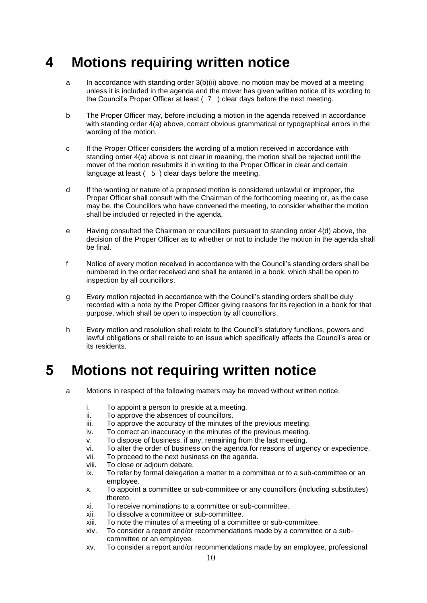#### **4 Motions requiring written notice**

- a In accordance with standing order 3(b)(ii) above, no motion may be moved at a meeting unless it is included in the agenda and the mover has given written notice of its wording to the Council's Proper Officer at least ( 7 ) clear days before the next meeting.
- b The Proper Officer may, before including a motion in the agenda received in accordance with standing order 4(a) above, correct obvious grammatical or typographical errors in the wording of the motion.
- c If the Proper Officer considers the wording of a motion received in accordance with standing order 4(a) above is not clear in meaning, the motion shall be rejected until the mover of the motion resubmits it in writing to the Proper Officer in clear and certain language at least ( 5 ) clear days before the meeting.
- d If the wording or nature of a proposed motion is considered unlawful or improper, the Proper Officer shall consult with the Chairman of the forthcoming meeting or, as the case may be, the Councillors who have convened the meeting, to consider whether the motion shall be included or rejected in the agenda.
- e Having consulted the Chairman or councillors pursuant to standing order 4(d) above, the decision of the Proper Officer as to whether or not to include the motion in the agenda shall be final.
- f Notice of every motion received in accordance with the Council's standing orders shall be numbered in the order received and shall be entered in a book, which shall be open to inspection by all councillors.
- g Every motion rejected in accordance with the Council's standing orders shall be duly recorded with a note by the Proper Officer giving reasons for its rejection in a book for that purpose, which shall be open to inspection by all councillors.
- h Every motion and resolution shall relate to the Council's statutory functions, powers and lawful obligations or shall relate to an issue which specifically affects the Council's area or its residents.

## **5 Motions not requiring written notice**

- a Motions in respect of the following matters may be moved without written notice.
	- i. To appoint a person to preside at a meeting.
	- ii. To approve the absences of councillors.
	- iii. To approve the accuracy of the minutes of the previous meeting.
	- iv. To correct an inaccuracy in the minutes of the previous meeting.
	- v. To dispose of business, if any, remaining from the last meeting.
	- vi. To alter the order of business on the agenda for reasons of urgency or expedience.
	- vii. To proceed to the next business on the agenda.
	- viii. To close or adjourn debate.
	- ix. To refer by formal delegation a matter to a committee or to a sub-committee or an employee.
	- x. To appoint a committee or sub-committee or any councillors (including substitutes) thereto.
	- xi. To receive nominations to a committee or sub-committee.
	- xii. To dissolve a committee or sub-committee.
	- xiii. To note the minutes of a meeting of a committee or sub-committee.
	- xiv. To consider a report and/or recommendations made by a committee or a subcommittee or an employee.
	- xv. To consider a report and/or recommendations made by an employee, professional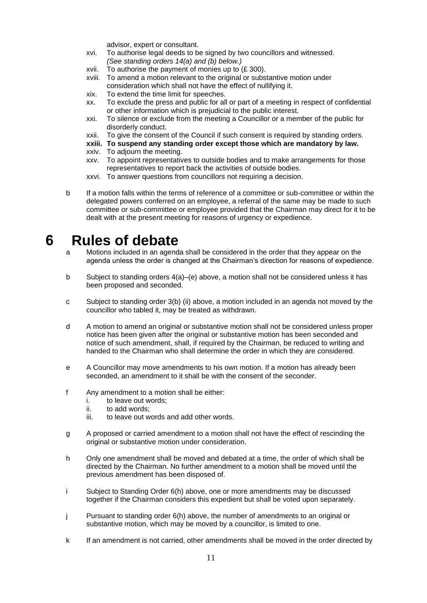advisor, expert or consultant.

- xvi. To authorise legal deeds to be signed by two councillors and witnessed. *(See standing orders 14(a) and (b) below.)*
- xvii. To authorise the payment of monies up to (£ 300).
- xviii. To amend a motion relevant to the original or substantive motion under consideration which shall not have the effect of nullifying it.
- xix. To extend the time limit for speeches.
- xx. To exclude the press and public for all or part of a meeting in respect of confidential or other information which is prejudicial to the public interest.
- xxi. To silence or exclude from the meeting a Councillor or a member of the public for disorderly conduct.
- xxii. To give the consent of the Council if such consent is required by standing orders.
- **xxiii. To suspend any standing order except those which are mandatory by law.**
- xxiv. To adjourn the meeting.
- xxv. To appoint representatives to outside bodies and to make arrangements for those representatives to report back the activities of outside bodies.
- xxvi. To answer questions from councillors not requiring a decision.

b If a motion falls within the terms of reference of a committee or sub-committee or within the delegated powers conferred on an employee, a referral of the same may be made to such committee or sub-committee or employee provided that the Chairman may direct for it to be dealt with at the present meeting for reasons of urgency or expedience.

#### **6 Rules of debate**

- a Motions included in an agenda shall be considered in the order that they appear on the agenda unless the order is changed at the Chairman's direction for reasons of expedience.
- b Subject to standing orders 4(a)–(e) above, a motion shall not be considered unless it has been proposed and seconded.
- c Subject to standing order 3(b) (ii) above, a motion included in an agenda not moved by the councillor who tabled it, may be treated as withdrawn.
- d A motion to amend an original or substantive motion shall not be considered unless proper notice has been given after the original or substantive motion has been seconded and notice of such amendment, shall, if required by the Chairman, be reduced to writing and handed to the Chairman who shall determine the order in which they are considered.
- e A Councillor may move amendments to his own motion. If a motion has already been seconded, an amendment to it shall be with the consent of the seconder.
- f Any amendment to a motion shall be either:
	- i. to leave out words;
	- ii. to add words;
	- iii. to leave out words and add other words.
- g A proposed or carried amendment to a motion shall not have the effect of rescinding the original or substantive motion under consideration.
- h Only one amendment shall be moved and debated at a time, the order of which shall be directed by the Chairman. No further amendment to a motion shall be moved until the previous amendment has been disposed of.
- i Subject to Standing Order 6(h) above, one or more amendments may be discussed together if the Chairman considers this expedient but shall be voted upon separately.
- j Pursuant to standing order 6(h) above, the number of amendments to an original or substantive motion, which may be moved by a councillor, is limited to one.
- k If an amendment is not carried, other amendments shall be moved in the order directed by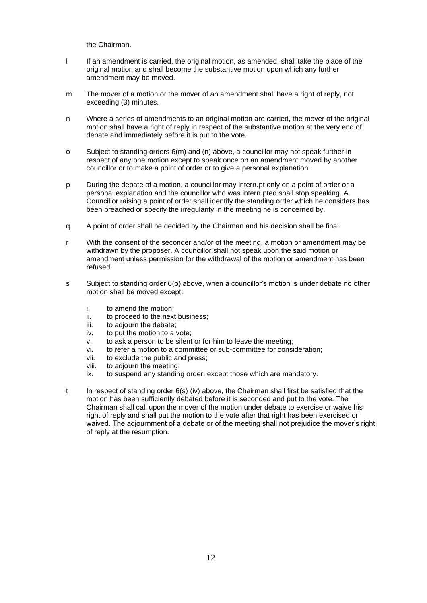the Chairman.

- l If an amendment is carried, the original motion, as amended, shall take the place of the original motion and shall become the substantive motion upon which any further amendment may be moved.
- m The mover of a motion or the mover of an amendment shall have a right of reply, not exceeding (3) minutes.
- n Where a series of amendments to an original motion are carried, the mover of the original motion shall have a right of reply in respect of the substantive motion at the very end of debate and immediately before it is put to the vote.
- o Subject to standing orders 6(m) and (n) above, a councillor may not speak further in respect of any one motion except to speak once on an amendment moved by another councillor or to make a point of order or to give a personal explanation.
- p During the debate of a motion, a councillor may interrupt only on a point of order or a personal explanation and the councillor who was interrupted shall stop speaking. A Councillor raising a point of order shall identify the standing order which he considers has been breached or specify the irregularity in the meeting he is concerned by.
- q A point of order shall be decided by the Chairman and his decision shall be final.
- r With the consent of the seconder and/or of the meeting, a motion or amendment may be withdrawn by the proposer. A councillor shall not speak upon the said motion or amendment unless permission for the withdrawal of the motion or amendment has been refused.
- s Subject to standing order 6(o) above, when a councillor's motion is under debate no other motion shall be moved except:
	- i. to amend the motion;
	- ii. to proceed to the next business;
	- iii. to adjourn the debate;
	- iv. to put the motion to a vote;
	- v. to ask a person to be silent or for him to leave the meeting;
	- vi. to refer a motion to a committee or sub-committee for consideration;
	- vii. to exclude the public and press;
	- viii. to adjourn the meeting;
	- ix. to suspend any standing order, except those which are mandatory.
- t In respect of standing order 6(s) (iv) above, the Chairman shall first be satisfied that the motion has been sufficiently debated before it is seconded and put to the vote. The Chairman shall call upon the mover of the motion under debate to exercise or waive his right of reply and shall put the motion to the vote after that right has been exercised or waived. The adjournment of a debate or of the meeting shall not prejudice the mover's right of reply at the resumption.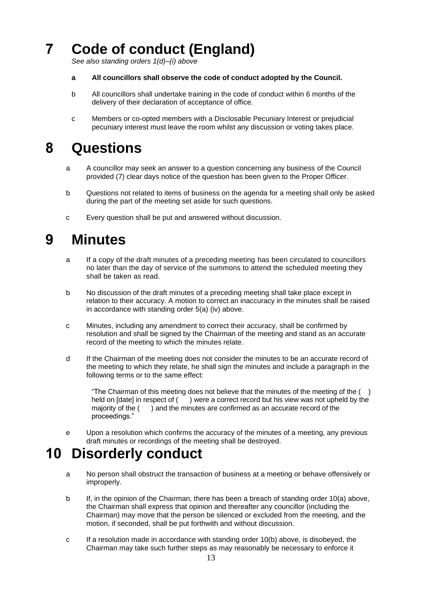# **7 Code of conduct (England)**

*See also standing orders 1(d)–(i) above* 

- **a All councillors shall observe the code of conduct adopted by the Council.**
- b All councillors shall undertake training in the code of conduct within 6 months of the delivery of their declaration of acceptance of office.
- c Members or co-opted members with a Disclosable Pecuniary Interest or prejudicial pecuniary interest must leave the room whilst any discussion or voting takes place.

#### **8 Questions**

- a A councillor may seek an answer to a question concerning any business of the Council provided (7) clear days notice of the question has been given to the Proper Officer.
- b Questions not related to items of business on the agenda for a meeting shall only be asked during the part of the meeting set aside for such questions.
- c Every question shall be put and answered without discussion.

#### **9 Minutes**

- a If a copy of the draft minutes of a preceding meeting has been circulated to councillors no later than the day of service of the summons to attend the scheduled meeting they shall be taken as read.
- b No discussion of the draft minutes of a preceding meeting shall take place except in relation to their accuracy. A motion to correct an inaccuracy in the minutes shall be raised in accordance with standing order 5(a) (iv) above.
- c Minutes, including any amendment to correct their accuracy, shall be confirmed by resolution and shall be signed by the Chairman of the meeting and stand as an accurate record of the meeting to which the minutes relate.
- d If the Chairman of the meeting does not consider the minutes to be an accurate record of the meeting to which they relate, he shall sign the minutes and include a paragraph in the following terms or to the same effect:

"The Chairman of this meeting does not believe that the minutes of the meeting of the  $( )$ held on [date] in respect of () were a correct record but his view was not upheld by the majority of the () and the minutes are confirmed as an accurate record of the proceedings."

e Upon a resolution which confirms the accuracy of the minutes of a meeting, any previous draft minutes or recordings of the meeting shall be destroyed.

#### **10 Disorderly conduct**

- a No person shall obstruct the transaction of business at a meeting or behave offensively or improperly.
- b If, in the opinion of the Chairman, there has been a breach of standing order 10(a) above, the Chairman shall express that opinion and thereafter any councillor (including the Chairman) may move that the person be silenced or excluded from the meeting, and the motion, if seconded, shall be put forthwith and without discussion.
- c If a resolution made in accordance with standing order 10(b) above, is disobeyed, the Chairman may take such further steps as may reasonably be necessary to enforce it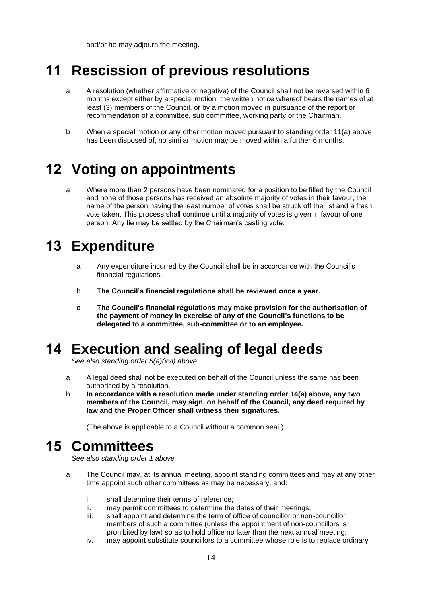and/or he may adjourn the meeting.

## **11 Rescission of previous resolutions**

- a A resolution (whether affirmative or negative) of the Council shall not be reversed within 6 months except either by a special motion, the written notice whereof bears the names of at least (3) members of the Council, or by a motion moved in pursuance of the report or recommendation of a committee, sub committee, working party or the Chairman.
- b When a special motion or any other motion moved pursuant to standing order 11(a) above has been disposed of, no similar motion may be moved within a further 6 months.

## **12 Voting on appointments**

a Where more than 2 persons have been nominated for a position to be filled by the Council and none of those persons has received an absolute majority of votes in their favour, the name of the person having the least number of votes shall be struck off the list and a fresh vote taken. This process shall continue until a majority of votes is given in favour of one person. Any tie may be settled by the Chairman's casting vote.

#### **13 Expenditure**

- a Any expenditure incurred by the Council shall be in accordance with the Council's financial regulations.
- b **The Council's financial regulations shall be reviewed once a year.**
- **c The Council's financial regulations may make provision for the authorisation of the payment of money in exercise of any of the Council's functions to be delegated to a committee, sub-committee or to an employee.**

## **14 Execution and sealing of legal deeds**

*See also standing order 5(a)(xvi) above*

- a A legal deed shall not be executed on behalf of the Council unless the same has been authorised by a resolution.
- b **In accordance with a resolution made under standing order 14(a) above, any two members of the Council, may sign, on behalf of the Council, any deed required by law and the Proper Officer shall witness their signatures.**

(The above is applicable to a Council without a common seal.)

## **15 Committees**

*See also standing order 1 above* 

- a The Council may, at its annual meeting, appoint standing committees and may at any other time appoint such other committees as may be necessary, and:
	- i. shall determine their terms of reference;
	- ii. may permit committees to determine the dates of their meetings;
	- iii. shall appoint and determine the term of office of councillor or non-councillor members of such a committee (unless the appointment of non-councillors is prohibited by law) so as to hold office no later than the next annual meeting;
	- iv. may appoint substitute councillors to a committee whose role is to replace ordinary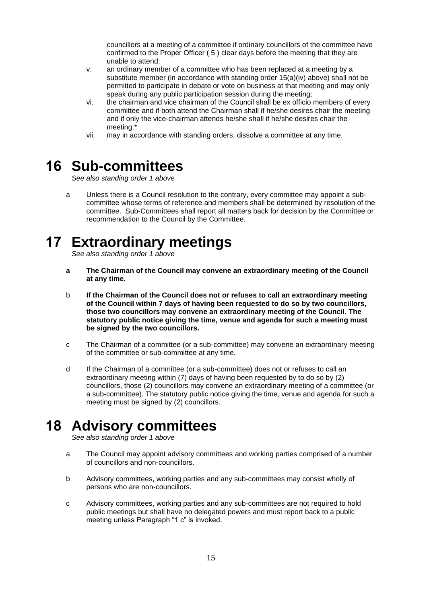councillors at a meeting of a committee if ordinary councillors of the committee have confirmed to the Proper Officer ( 5 ) clear days before the meeting that they are unable to attend;

- v. an ordinary member of a committee who has been replaced at a meeting by a substitute member (in accordance with standing order 15(a)(iv) above) shall not be permitted to participate in debate or vote on business at that meeting and may only speak during any public participation session during the meeting;
- vi. the chairman and vice chairman of the Council shall be ex officio members of every committee and if both attend the Chairman shall if he/she desires chair the meeting and if only the vice-chairman attends he/she shall if he/she desires chair the meeting.\*
- vii. may in accordance with standing orders, dissolve a committee at any time.

#### **16 Sub-committees**

*See also standing order 1 above*

a Unless there is a Council resolution to the contrary, every committee may appoint a subcommittee whose terms of reference and members shall be determined by resolution of the committee. Sub-Committees shall report all matters back for decision by the Committee or recommendation to the Council by the Committee.

# **17 Extraordinary meetings**

*See also standing order 1 above*

- **a The Chairman of the Council may convene an extraordinary meeting of the Council at any time.**
- b **If the Chairman of the Council does not or refuses to call an extraordinary meeting of the Council within 7 days of having been requested to do so by two councillors, those two councillors may convene an extraordinary meeting of the Council. The statutory public notice giving the time, venue and agenda for such a meeting must be signed by the two councillors.**
- c The Chairman of a committee (or a sub-committee) may convene an extraordinary meeting of the committee or sub-committee at any time.
- d If the Chairman of a committee (or a sub-committee) does not or refuses to call an extraordinary meeting within (7) days of having been requested by to do so by (2) councillors, those (2) councillors may convene an extraordinary meeting of a committee (or a sub-committee). The statutory public notice giving the time, venue and agenda for such a meeting must be signed by (2) councillors.

## **18 Advisory committees**

*See also standing order 1 above*

- a The Council may appoint advisory committees and working parties comprised of a number of councillors and non-councillors.
- b Advisory committees, working parties and any sub-committees may consist wholly of persons who are non-councillors.
- c Advisory committees, working parties and any sub-committees are not required to hold public meetings but shall have no delegated powers and must report back to a public meeting unless Paragraph "1 c" is invoked.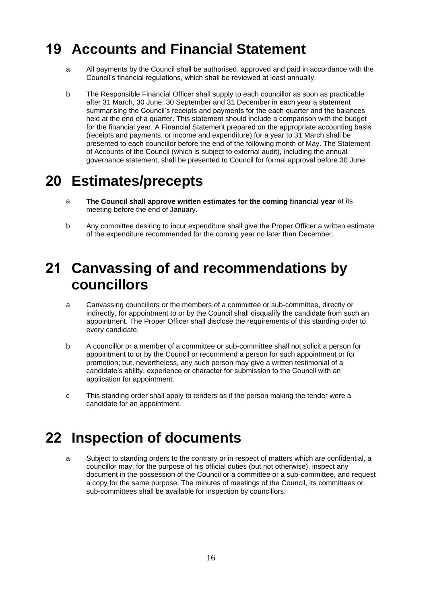## **19 Accounts and Financial Statement**

- a All payments by the Council shall be authorised, approved and paid in accordance with the Council's financial regulations, which shall be reviewed at least annually.
- b The Responsible Financial Officer shall supply to each councillor as soon as practicable after 31 March, 30 June, 30 September and 31 December in each year a statement summarising the Council's receipts and payments for the each quarter and the balances held at the end of a quarter. This statement should include a comparison with the budget for the financial year. A Financial Statement prepared on the appropriate accounting basis (receipts and payments, or income and expenditure) for a year to 31 March shall be presented to each councillor before the end of the following month of May. The Statement of Accounts of the Council (which is subject to external audit), including the annual governance statement, shall be presented to Council for formal approval before 30 June.

## **20 Estimates/precepts**

- a **The Council shall approve written estimates for the coming financial year** at its meeting before the end of January.
- b Any committee desiring to incur expenditure shall give the Proper Officer a written estimate of the expenditure recommended for the coming year no later than December.

#### **21 Canvassing of and recommendations by councillors**

- a Canvassing councillors or the members of a committee or sub-committee, directly or indirectly, for appointment to or by the Council shall disqualify the candidate from such an appointment. The Proper Officer shall disclose the requirements of this standing order to every candidate.
- b A councillor or a member of a committee or sub-committee shall not solicit a person for appointment to or by the Council or recommend a person for such appointment or for promotion; but, nevertheless, any such person may give a written testimonial of a candidate's ability, experience or character for submission to the Council with an application for appointment.
- c This standing order shall apply to tenders as if the person making the tender were a candidate for an appointment.

## **22 Inspection of documents**

a Subject to standing orders to the contrary or in respect of matters which are confidential, a councillor may, for the purpose of his official duties (but not otherwise), inspect any document in the possession of the Council or a committee or a sub-committee, and request a copy for the same purpose. The minutes of meetings of the Council, its committees or sub-committees shall be available for inspection by councillors.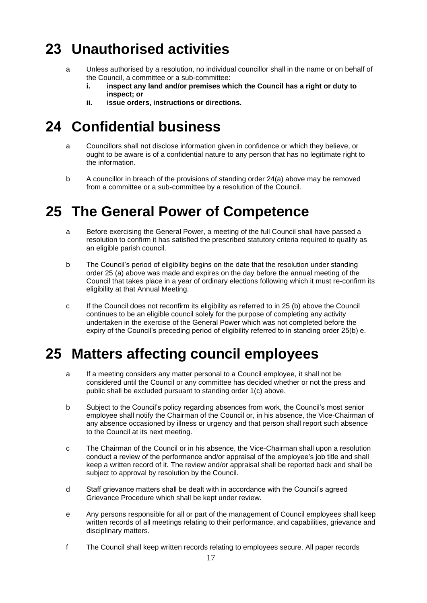# **23 Unauthorised activities**

- a Unless authorised by a resolution, no individual councillor shall in the name or on behalf of the Council, a committee or a sub-committee:
	- **i. inspect any land and/or premises which the Council has a right or duty to inspect; or**
	- **ii. issue orders, instructions or directions.**

# **24 Confidential business**

- a Councillors shall not disclose information given in confidence or which they believe, or ought to be aware is of a confidential nature to any person that has no legitimate right to the information.
- b A councillor in breach of the provisions of standing order 24(a) above may be removed from a committee or a sub-committee by a resolution of the Council.

# **25 The General Power of Competence**

- a Before exercising the General Power, a meeting of the full Council shall have passed a resolution to confirm it has satisfied the prescribed statutory criteria required to qualify as an eligible parish council.
- b The Council's period of eligibility begins on the date that the resolution under standing order 25 (a) above was made and expires on the day before the annual meeting of the Council that takes place in a year of ordinary elections following which it must re-confirm its eligibility at that Annual Meeting.
- c If the Council does not reconfirm its eligibility as referred to in 25 (b) above the Council continues to be an eligible council solely for the purpose of completing any activity undertaken in the exercise of the General Power which was not completed before the expiry of the Council's preceding period of eligibility referred to in standing order 25(b) e.

# **25 Matters affecting council employees**

- a If a meeting considers any matter personal to a Council employee, it shall not be considered until the Council or any committee has decided whether or not the press and public shall be excluded pursuant to standing order 1(c) above.
- b Subject to the Council's policy regarding absences from work, the Council's most senior employee shall notify the Chairman of the Council or, in his absence, the Vice-Chairman of any absence occasioned by illness or urgency and that person shall report such absence to the Council at its next meeting.
- c The Chairman of the Council or in his absence, the Vice-Chairman shall upon a resolution conduct a review of the performance and/or appraisal of the employee's job title and shall keep a written record of it. The review and/or appraisal shall be reported back and shall be subject to approval by resolution by the Council.
- d Staff grievance matters shall be dealt with in accordance with the Council's agreed Grievance Procedure which shall be kept under review.
- e Any persons responsible for all or part of the management of Council employees shall keep written records of all meetings relating to their performance, and capabilities, grievance and disciplinary matters.
- f The Council shall keep written records relating to employees secure. All paper records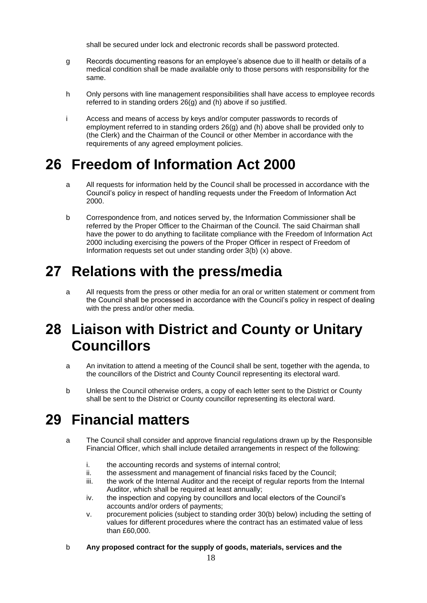shall be secured under lock and electronic records shall be password protected.

- g Records documenting reasons for an employee's absence due to ill health or details of a medical condition shall be made available only to those persons with responsibility for the same.
- h Only persons with line management responsibilities shall have access to employee records referred to in standing orders 26(g) and (h) above if so justified.
- i Access and means of access by keys and/or computer passwords to records of employment referred to in standing orders 26(g) and (h) above shall be provided only to (the Clerk) and the Chairman of the Council or other Member in accordance with the requirements of any agreed employment policies.

## **26 Freedom of Information Act 2000**

- a All requests for information held by the Council shall be processed in accordance with the Council's policy in respect of handling requests under the Freedom of Information Act 2000.
- b Correspondence from, and notices served by, the Information Commissioner shall be referred by the Proper Officer to the Chairman of the Council. The said Chairman shall have the power to do anything to facilitate compliance with the Freedom of Information Act 2000 including exercising the powers of the Proper Officer in respect of Freedom of Information requests set out under standing order 3(b) (x) above.

# **27 Relations with the press/media**

a All requests from the press or other media for an oral or written statement or comment from the Council shall be processed in accordance with the Council's policy in respect of dealing with the press and/or other media.

#### **28 Liaison with District and County or Unitary Councillors**

- a An invitation to attend a meeting of the Council shall be sent, together with the agenda, to the councillors of the District and County Council representing its electoral ward.
- b Unless the Council otherwise orders, a copy of each letter sent to the District or County shall be sent to the District or County councillor representing its electoral ward.

## **29 Financial matters**

- a The Council shall consider and approve financial regulations drawn up by the Responsible Financial Officer, which shall include detailed arrangements in respect of the following:
	- i. the accounting records and systems of internal control;
	- ii. the assessment and management of financial risks faced by the Council;
	- iii. the work of the Internal Auditor and the receipt of regular reports from the Internal Auditor, which shall be required at least annually;
	- iv. the inspection and copying by councillors and local electors of the Council's accounts and/or orders of payments;
	- v. procurement policies (subject to standing order 30(b) below) including the setting of values for different procedures where the contract has an estimated value of less than £60,000.
- b **Any proposed contract for the supply of goods, materials, services and the**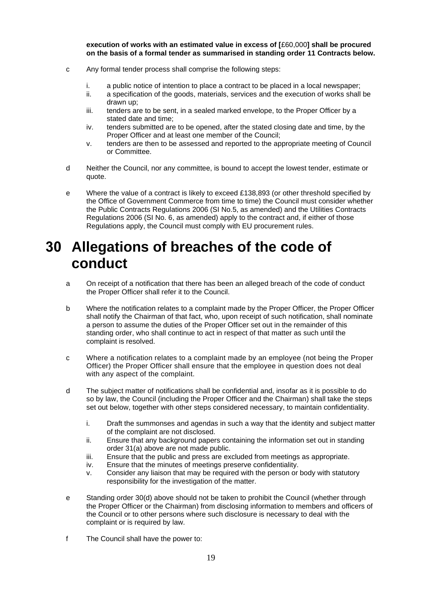**execution of works with an estimated value in excess of [**£60,000**] shall be procured on the basis of a formal tender as summarised in standing order 11 Contracts below.**

- c Any formal tender process shall comprise the following steps:
	- i. a public notice of intention to place a contract to be placed in a local newspaper;
	- ii. a specification of the goods, materials, services and the execution of works shall be drawn up;
	- iii. tenders are to be sent, in a sealed marked envelope, to the Proper Officer by a stated date and time;
	- iv. tenders submitted are to be opened, after the stated closing date and time, by the Proper Officer and at least one member of the Council;
	- v. tenders are then to be assessed and reported to the appropriate meeting of Council or Committee.
- d Neither the Council, nor any committee, is bound to accept the lowest tender, estimate or quote.
- e Where the value of a contract is likely to exceed £138,893 (or other threshold specified by the Office of Government Commerce from time to time) the Council must consider whether the Public Contracts Regulations 2006 (SI No.5, as amended) and the Utilities Contracts Regulations 2006 (SI No. 6, as amended) apply to the contract and, if either of those Regulations apply, the Council must comply with EU procurement rules.

#### **30 Allegations of breaches of the code of conduct**

- a On receipt of a notification that there has been an alleged breach of the code of conduct the Proper Officer shall refer it to the Council.
- b Where the notification relates to a complaint made by the Proper Officer, the Proper Officer shall notify the Chairman of that fact, who, upon receipt of such notification, shall nominate a person to assume the duties of the Proper Officer set out in the remainder of this standing order, who shall continue to act in respect of that matter as such until the complaint is resolved.
- c Where a notification relates to a complaint made by an employee (not being the Proper Officer) the Proper Officer shall ensure that the employee in question does not deal with any aspect of the complaint.
- d The subject matter of notifications shall be confidential and, insofar as it is possible to do so by law, the Council (including the Proper Officer and the Chairman) shall take the steps set out below, together with other steps considered necessary, to maintain confidentiality.
	- i. Draft the summonses and agendas in such a way that the identity and subject matter of the complaint are not disclosed.
	- ii. Ensure that any background papers containing the information set out in standing order 31(a) above are not made public.
	- iii. Ensure that the public and press are excluded from meetings as appropriate.
	- iv. Ensure that the minutes of meetings preserve confidentiality.
	- v. Consider any liaison that may be required with the person or body with statutory responsibility for the investigation of the matter.
- e Standing order 30(d) above should not be taken to prohibit the Council (whether through the Proper Officer or the Chairman) from disclosing information to members and officers of the Council or to other persons where such disclosure is necessary to deal with the complaint or is required by law.
- f The Council shall have the power to: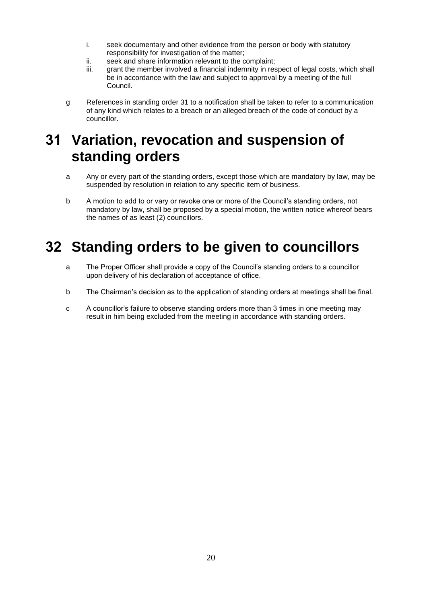- i. seek documentary and other evidence from the person or body with statutory responsibility for investigation of the matter;
- ii. seek and share information relevant to the complaint;
- iii. grant the member involved a financial indemnity in respect of legal costs, which shall be in accordance with the law and subject to approval by a meeting of the full Council.
- g References in standing order 31 to a notification shall be taken to refer to a communication of any kind which relates to a breach or an alleged breach of the code of conduct by a councillor.

#### **31 Variation, revocation and suspension of standing orders**

- a Any or every part of the standing orders, except those which are mandatory by law, may be suspended by resolution in relation to any specific item of business.
- b A motion to add to or vary or revoke one or more of the Council's standing orders, not mandatory by law, shall be proposed by a special motion, the written notice whereof bears the names of as least (2) councillors.

## **32 Standing orders to be given to councillors**

- a The Proper Officer shall provide a copy of the Council's standing orders to a councillor upon delivery of his declaration of acceptance of office.
- b The Chairman's decision as to the application of standing orders at meetings shall be final.
- c A councillor's failure to observe standing orders more than 3 times in one meeting may result in him being excluded from the meeting in accordance with standing orders.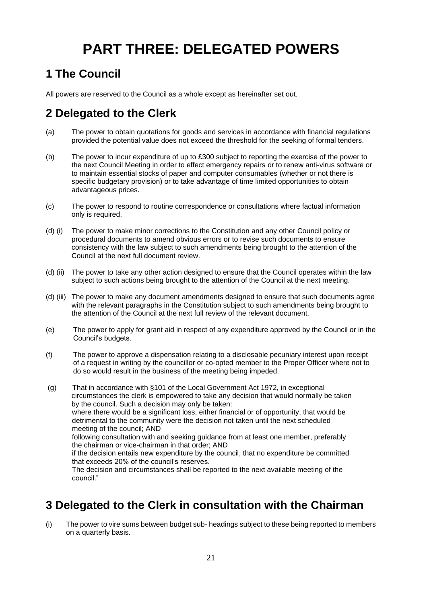# **PART THREE: DELEGATED POWERS**

#### **1 The Council**

All powers are reserved to the Council as a whole except as hereinafter set out.

#### **2 Delegated to the Clerk**

- (a) The power to obtain quotations for goods and services in accordance with financial regulations provided the potential value does not exceed the threshold for the seeking of formal tenders.
- (b) The power to incur expenditure of up to £300 subject to reporting the exercise of the power to the next Council Meeting in order to effect emergency repairs or to renew anti-virus software or to maintain essential stocks of paper and computer consumables (whether or not there is specific budgetary provision) or to take advantage of time limited opportunities to obtain advantageous prices.
- (c) The power to respond to routine correspondence or consultations where factual information only is required.
- (d) (i) The power to make minor corrections to the Constitution and any other Council policy or procedural documents to amend obvious errors or to revise such documents to ensure consistency with the law subject to such amendments being brought to the attention of the Council at the next full document review.
- (d) (ii) The power to take any other action designed to ensure that the Council operates within the law subject to such actions being brought to the attention of the Council at the next meeting.
- (d) (iii) The power to make any document amendments designed to ensure that such documents agree with the relevant paragraphs in the Constitution subject to such amendments being brought to the attention of the Council at the next full review of the relevant document.
- (e) The power to apply for grant aid in respect of any expenditure approved by the Council or in the Council's budgets.
- (f) The power to approve a dispensation relating to a disclosable pecuniary interest upon receipt of a request in writing by the councillor or co-opted member to the Proper Officer where not to do so would result in the business of the meeting being impeded.
- (g) That in accordance with §101 of the Local Government Act 1972, in exceptional circumstances the clerk is empowered to take any decision that would normally be taken by the council. Such a decision may only be taken: where there would be a significant loss, either financial or of opportunity, that would be detrimental to the community were the decision not taken until the next scheduled meeting of the council; AND following consultation with and seeking guidance from at least one member, preferably the chairman or vice-chairman in that order; AND if the decision entails new expenditure by the council, that no expenditure be committed that exceeds 20% of the council's reserves. The decision and circumstances shall be reported to the next available meeting of the council."

#### **3 Delegated to the Clerk in consultation with the Chairman**

(i) The power to vire sums between budget sub- headings subject to these being reported to members on a quarterly basis.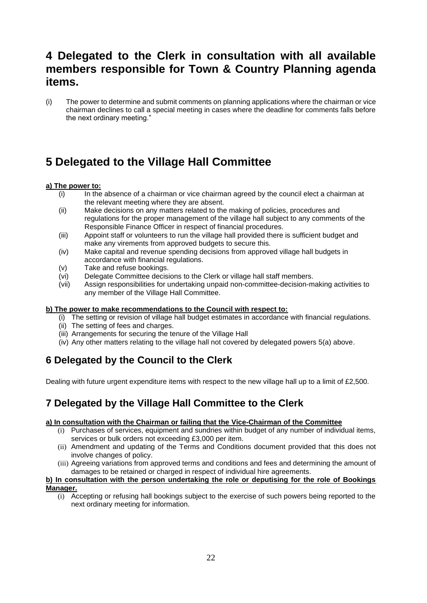#### **4 Delegated to the Clerk in consultation with all available members responsible for Town & Country Planning agenda items.**

(i) The power to determine and submit comments on planning applications where the chairman or vice chairman declines to call a special meeting in cases where the deadline for comments falls before the next ordinary meeting."

#### **5 Delegated to the Village Hall Committee**

#### **a) The power to:**

- (i) In the absence of a chairman or vice chairman agreed by the council elect a chairman at the relevant meeting where they are absent.
- (ii) Make decisions on any matters related to the making of policies, procedures and regulations for the proper management of the village hall subject to any comments of the Responsible Finance Officer in respect of financial procedures.
- (iii) Appoint staff or volunteers to run the village hall provided there is sufficient budget and make any virements from approved budgets to secure this.
- (iv) Make capital and revenue spending decisions from approved village hall budgets in accordance with financial regulations.
- (v) Take and refuse bookings.
- (vi) Delegate Committee decisions to the Clerk or village hall staff members.
- (vii) Assign responsibilities for undertaking unpaid non-committee-decision-making activities to any member of the Village Hall Committee.

#### **b) The power to make recommendations to the Council with respect to:**

- (i) The setting or revision of village hall budget estimates in accordance with financial regulations.
- (ii) The setting of fees and charges.
- (iii) Arrangements for securing the tenure of the Village Hall
- (iv) Any other matters relating to the village hall not covered by delegated powers 5(a) above.

#### **6 Delegated by the Council to the Clerk**

Dealing with future urgent expenditure items with respect to the new village hall up to a limit of £2,500.

#### **7 Delegated by the Village Hall Committee to the Clerk**

#### **a) In consultation with the Chairman or failing that the Vice-Chairman of the Committee**

- (i) Purchases of services, equipment and sundries within budget of any number of individual items, services or bulk orders not exceeding £3,000 per item.
- (ii) Amendment and updating of the Terms and Conditions document provided that this does not involve changes of policy.
- (iii) Agreeing variations from approved terms and conditions and fees and determining the amount of damages to be retained or charged in respect of individual hire agreements.

#### **b) In consultation with the person undertaking the role or deputising for the role of Bookings Manager.**

(i) Accepting or refusing hall bookings subject to the exercise of such powers being reported to the next ordinary meeting for information.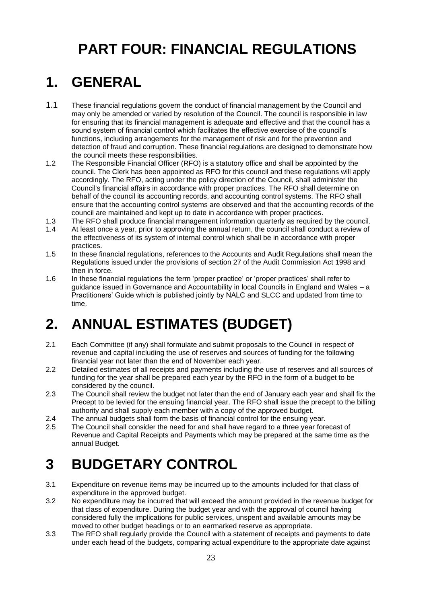# **PART FOUR: FINANCIAL REGULATIONS**

# **1. GENERAL**

- 1.1 These financial regulations govern the conduct of financial management by the Council and may only be amended or varied by resolution of the Council. The council is responsible in law for ensuring that its financial management is adequate and effective and that the council has a sound system of financial control which facilitates the effective exercise of the council's functions, including arrangements for the management of risk and for the prevention and detection of fraud and corruption. These financial regulations are designed to demonstrate how the council meets these responsibilities.
- 1.2 The Responsible Financial Officer (RFO) is a statutory office and shall be appointed by the council. The Clerk has been appointed as RFO for this council and these regulations will apply accordingly. The RFO, acting under the policy direction of the Council, shall administer the Council's financial affairs in accordance with proper practices. The RFO shall determine on behalf of the council its accounting records, and accounting control systems. The RFO shall ensure that the accounting control systems are observed and that the accounting records of the council are maintained and kept up to date in accordance with proper practices.
- 1.3 The RFO shall produce financial management information quarterly as required by the council.
- 1.4 At least once a year, prior to approving the annual return, the council shall conduct a review of the effectiveness of its system of internal control which shall be in accordance with proper practices.
- 1.5 In these financial regulations, references to the Accounts and Audit Regulations shall mean the Regulations issued under the provisions of section 27 of the Audit Commission Act 1998 and then in force.
- 1.6 In these financial regulations the term 'proper practice' or 'proper practices' shall refer to guidance issued in Governance and Accountability in local Councils in England and Wales – a Practitioners' Guide which is published jointly by NALC and SLCC and updated from time to time.

# **2. ANNUAL ESTIMATES (BUDGET)**

- 2.1 Each Committee (if any) shall formulate and submit proposals to the Council in respect of revenue and capital including the use of reserves and sources of funding for the following financial year not later than the end of November each year.
- 2.2 Detailed estimates of all receipts and payments including the use of reserves and all sources of funding for the year shall be prepared each year by the RFO in the form of a budget to be considered by the council.
- 2.3 The Council shall review the budget not later than the end of January each year and shall fix the Precept to be levied for the ensuing financial year. The RFO shall issue the precept to the billing authority and shall supply each member with a copy of the approved budget.
- 2.4 The annual budgets shall form the basis of financial control for the ensuing year.
- 2.5 The Council shall consider the need for and shall have regard to a three year forecast of Revenue and Capital Receipts and Payments which may be prepared at the same time as the annual Budget.

# **3 BUDGETARY CONTROL**

- 3.1 Expenditure on revenue items may be incurred up to the amounts included for that class of expenditure in the approved budget.
- 3.2 No expenditure may be incurred that will exceed the amount provided in the revenue budget for that class of expenditure. During the budget year and with the approval of council having considered fully the implications for public services, unspent and available amounts may be moved to other budget headings or to an earmarked reserve as appropriate.
- 3.3 The RFO shall regularly provide the Council with a statement of receipts and payments to date under each head of the budgets, comparing actual expenditure to the appropriate date against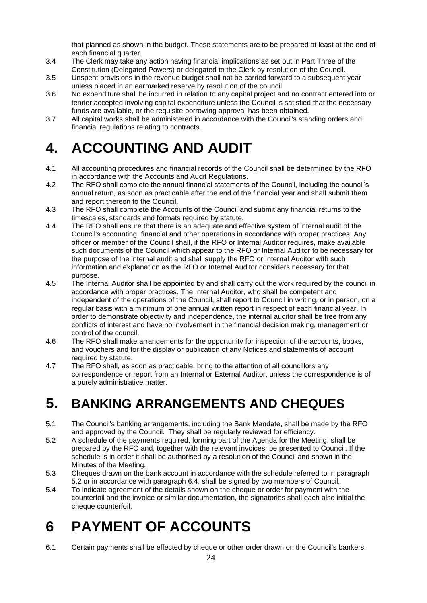that planned as shown in the budget. These statements are to be prepared at least at the end of each financial quarter.

- 3.4 The Clerk may take any action having financial implications as set out in Part Three of the Constitution (Delegated Powers) or delegated to the Clerk by resolution of the Council.
- 3.5 Unspent provisions in the revenue budget shall not be carried forward to a subsequent year unless placed in an earmarked reserve by resolution of the council.
- 3.6 No expenditure shall be incurred in relation to any capital project and no contract entered into or tender accepted involving capital expenditure unless the Council is satisfied that the necessary funds are available, or the requisite borrowing approval has been obtained.
- 3.7 All capital works shall be administered in accordance with the Council's standing orders and financial regulations relating to contracts.

# **4. ACCOUNTING AND AUDIT**

- 4.1 All accounting procedures and financial records of the Council shall be determined by the RFO in accordance with the Accounts and Audit Regulations.
- 4.2 The RFO shall complete the annual financial statements of the Council, including the council's annual return, as soon as practicable after the end of the financial year and shall submit them and report thereon to the Council.
- 4.3 The RFO shall complete the Accounts of the Council and submit any financial returns to the timescales, standards and formats required by statute.
- 4.4 The RFO shall ensure that there is an adequate and effective system of internal audit of the Council's accounting, financial and other operations in accordance with proper practices. Any officer or member of the Council shall, if the RFO or Internal Auditor requires, make available such documents of the Council which appear to the RFO or Internal Auditor to be necessary for the purpose of the internal audit and shall supply the RFO or Internal Auditor with such information and explanation as the RFO or Internal Auditor considers necessary for that purpose.
- 4.5 The Internal Auditor shall be appointed by and shall carry out the work required by the council in accordance with proper practices. The Internal Auditor, who shall be competent and independent of the operations of the Council, shall report to Council in writing, or in person, on a regular basis with a minimum of one annual written report in respect of each financial year. In order to demonstrate objectivity and independence, the internal auditor shall be free from any conflicts of interest and have no involvement in the financial decision making, management or control of the council.
- 4.6 The RFO shall make arrangements for the opportunity for inspection of the accounts, books, and vouchers and for the display or publication of any Notices and statements of account required by statute.
- 4.7 The RFO shall, as soon as practicable, bring to the attention of all councillors any correspondence or report from an Internal or External Auditor, unless the correspondence is of a purely administrative matter.

# **5. BANKING ARRANGEMENTS AND CHEQUES**

- 5.1 The Council's banking arrangements, including the Bank Mandate, shall be made by the RFO and approved by the Council. They shall be regularly reviewed for efficiency.
- 5.2 A schedule of the payments required, forming part of the Agenda for the Meeting, shall be prepared by the RFO and, together with the relevant invoices, be presented to Council. If the schedule is in order it shall be authorised by a resolution of the Council and shown in the Minutes of the Meeting.
- 5.3 Cheques drawn on the bank account in accordance with the schedule referred to in paragraph 5.2 or in accordance with paragraph 6.4, shall be signed by two members of Council.
- 5.4 To indicate agreement of the details shown on the cheque or order for payment with the counterfoil and the invoice or similar documentation, the signatories shall each also initial the cheque counterfoil.

# **6 PAYMENT OF ACCOUNTS**

6.1 Certain payments shall be effected by cheque or other order drawn on the Council's bankers.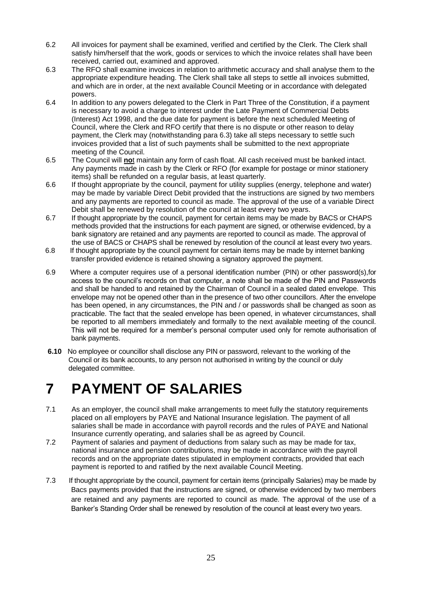- 6.2 All invoices for payment shall be examined, verified and certified by the Clerk. The Clerk shall satisfy him/herself that the work, goods or services to which the invoice relates shall have been received, carried out, examined and approved.
- 6.3 The RFO shall examine invoices in relation to arithmetic accuracy and shall analyse them to the appropriate expenditure heading. The Clerk shall take all steps to settle all invoices submitted, and which are in order, at the next available Council Meeting or in accordance with delegated powers.
- 6.4 In addition to any powers delegated to the Clerk in Part Three of the Constitution, if a payment is necessary to avoid a charge to interest under the Late Payment of Commercial Debts (Interest) Act 1998, and the due date for payment is before the next scheduled Meeting of Council, where the Clerk and RFO certify that there is no dispute or other reason to delay payment, the Clerk may (notwithstanding para 6.3) take all steps necessary to settle such invoices provided that a list of such payments shall be submitted to the next appropriate meeting of the Council.
- 6.5 The Council will **no**t maintain any form of cash float. All cash received must be banked intact. Any payments made in cash by the Clerk or RFO (for example for postage or minor stationery items) shall be refunded on a regular basis, at least quarterly.
- 6.6 If thought appropriate by the council, payment for utility supplies (energy, telephone and water) may be made by variable Direct Debit provided that the instructions are signed by two members and any payments are reported to council as made. The approval of the use of a variable Direct Debit shall be renewed by resolution of the council at least every two years.
- 6.7If thought appropriate by the council, payment for certain items may be made by BACS or CHAPS methods provided that the instructions for each payment are signed, or otherwise evidenced, by a bank signatory are retained and any payments are reported to council as made. The approval of the use of BACS or CHAPS shall be renewed by resolution of the council at least every two years.
- 6.8 If thought appropriate by the council payment for certain items may be made by internet banking transfer provided evidence is retained showing a signatory approved the payment.
- 6.9 Where a computer requires use of a personal identification number (PIN) or other password(s),for access to the council's records on that computer, a note shall be made of the PIN and Passwords and shall be handed to and retained by the Chairman of Council in a sealed dated envelope. This envelope may not be opened other than in the presence of two other councillors. After the envelope has been opened, in any circumstances, the PIN and / or passwords shall be changed as soon as practicable. The fact that the sealed envelope has been opened, in whatever circumstances, shall be reported to all members immediately and formally to the next available meeting of the council. This will not be required for a member's personal computer used only for remote authorisation of bank payments.
- **6.10** No employee or councillor shall disclose any PIN or password, relevant to the working of the Council or its bank accounts, to any person not authorised in writing by the council or duly delegated committee.

# **7 PAYMENT OF SALARIES**

- 7.1 As an employer, the council shall make arrangements to meet fully the statutory requirements placed on all employers by PAYE and National Insurance legislation. The payment of all salaries shall be made in accordance with payroll records and the rules of PAYE and National Insurance currently operating, and salaries shall be as agreed by Council.
- 7.2 Payment of salaries and payment of deductions from salary such as may be made for tax, national insurance and pension contributions, may be made in accordance with the payroll records and on the appropriate dates stipulated in employment contracts, provided that each payment is reported to and ratified by the next available Council Meeting.
- 7.3 If thought appropriate by the council, payment for certain items (principally Salaries) may be made by Bacs payments provided that the instructions are signed, or otherwise evidenced by two members are retained and any payments are reported to council as made. The approval of the use of a Banker's Standing Order shall be renewed by resolution of the council at least every two years.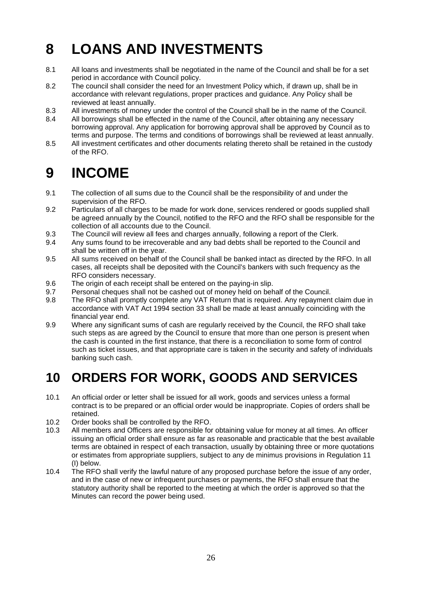# **8 LOANS AND INVESTMENTS**

- 8.1 All loans and investments shall be negotiated in the name of the Council and shall be for a set period in accordance with Council policy.
- 8.2 The council shall consider the need for an Investment Policy which, if drawn up, shall be in accordance with relevant regulations, proper practices and guidance. Any Policy shall be reviewed at least annually.
- 8.3 All investments of money under the control of the Council shall be in the name of the Council.
- 8.4 All borrowings shall be effected in the name of the Council, after obtaining any necessary borrowing approval. Any application for borrowing approval shall be approved by Council as to terms and purpose. The terms and conditions of borrowings shall be reviewed at least annually.
- 8.5 All investment certificates and other documents relating thereto shall be retained in the custody of the RFO.

# **9 INCOME**

- 9.1 The collection of all sums due to the Council shall be the responsibility of and under the supervision of the RFO.
- 9.2 Particulars of all charges to be made for work done, services rendered or goods supplied shall be agreed annually by the Council, notified to the RFO and the RFO shall be responsible for the collection of all accounts due to the Council.
- 9.3 The Council will review all fees and charges annually, following a report of the Clerk.
- 9.4 Any sums found to be irrecoverable and any bad debts shall be reported to the Council and shall be written off in the year.
- 9.5 All sums received on behalf of the Council shall be banked intact as directed by the RFO. In all cases, all receipts shall be deposited with the Council's bankers with such frequency as the RFO considers necessary.
- 9.6 The origin of each receipt shall be entered on the paying-in slip.
- 9.7 Personal cheques shall not be cashed out of money held on behalf of the Council.
- 9.8 The RFO shall promptly complete any VAT Return that is required. Any repayment claim due in accordance with VAT Act 1994 section 33 shall be made at least annually coinciding with the financial year end.
- 9.9 Where any significant sums of cash are regularly received by the Council, the RFO shall take such steps as are agreed by the Council to ensure that more than one person is present when the cash is counted in the first instance, that there is a reconciliation to some form of control such as ticket issues, and that appropriate care is taken in the security and safety of individuals banking such cash.

#### **10 ORDERS FOR WORK, GOODS AND SERVICES**

- 10.1 An official order or letter shall be issued for all work, goods and services unless a formal contract is to be prepared or an official order would be inappropriate. Copies of orders shall be retained.
- 10.2 Order books shall be controlled by the RFO.
- 10.3 All members and Officers are responsible for obtaining value for money at all times. An officer issuing an official order shall ensure as far as reasonable and practicable that the best available terms are obtained in respect of each transaction, usually by obtaining three or more quotations or estimates from appropriate suppliers, subject to any de minimus provisions in Regulation 11 (I) below.
- 10.4 The RFO shall verify the lawful nature of any proposed purchase before the issue of any order, and in the case of new or infrequent purchases or payments, the RFO shall ensure that the statutory authority shall be reported to the meeting at which the order is approved so that the Minutes can record the power being used.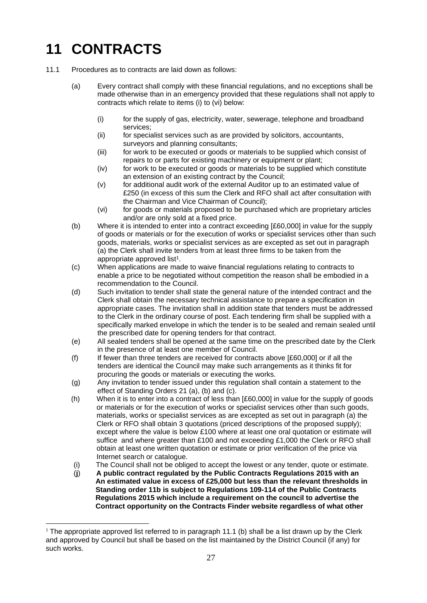# **11 CONTRACTS**

- 11.1 Procedures as to contracts are laid down as follows:
	- (a) Every contract shall comply with these financial regulations, and no exceptions shall be made otherwise than in an emergency provided that these regulations shall not apply to contracts which relate to items (i) to (vi) below:
		- (i) for the supply of gas, electricity, water, sewerage, telephone and broadband services;
		- (ii) for specialist services such as are provided by solicitors, accountants, surveyors and planning consultants;
		- (iii) for work to be executed or goods or materials to be supplied which consist of repairs to or parts for existing machinery or equipment or plant;
		- (iv) for work to be executed or goods or materials to be supplied which constitute an extension of an existing contract by the Council;
		- $(v)$  for additional audit work of the external Auditor up to an estimated value of £250 (in excess of this sum the Clerk and RFO shall act after consultation with the Chairman and Vice Chairman of Council);
		- (vi) for goods or materials proposed to be purchased which are proprietary articles and/or are only sold at a fixed price.
	- (b) Where it is intended to enter into a contract exceeding [£60,000] in value for the supply of goods or materials or for the execution of works or specialist services other than such goods, materials, works or specialist services as are excepted as set out in paragraph (a) the Clerk shall invite tenders from at least three firms to be taken from the appropriate approved list<sup>1</sup>.
	- (c) When applications are made to waive financial regulations relating to contracts to enable a price to be negotiated without competition the reason shall be embodied in a recommendation to the Council.
	- (d) Such invitation to tender shall state the general nature of the intended contract and the Clerk shall obtain the necessary technical assistance to prepare a specification in appropriate cases. The invitation shall in addition state that tenders must be addressed to the Clerk in the ordinary course of post. Each tendering firm shall be supplied with a specifically marked envelope in which the tender is to be sealed and remain sealed until the prescribed date for opening tenders for that contract.
	- (e) All sealed tenders shall be opened at the same time on the prescribed date by the Clerk in the presence of at least one member of Council.
	- (f) If fewer than three tenders are received for contracts above [£60,000] or if all the tenders are identical the Council may make such arrangements as it thinks fit for procuring the goods or materials or executing the works.
	- (g) Any invitation to tender issued under this regulation shall contain a statement to the effect of Standing Orders 21 (a), (b) and (c).
	- (h) When it is to enter into a contract of less than [£60,000] in value for the supply of goods or materials or for the execution of works or specialist services other than such goods, materials, works or specialist services as are excepted as set out in paragraph (a) the Clerk or RFO shall obtain 3 quotations (priced descriptions of the proposed supply); except where the value is below £100 where at least one oral quotation or estimate will suffice and where greater than £100 and not exceeding £1,000 the Clerk or RFO shall obtain at least one written quotation or estimate or prior verification of the price via Internet search or catalogue.
	- (i) The Council shall not be obliged to accept the lowest or any tender, quote or estimate.
	- (**j**) **A public contract regulated by the Public Contracts Regulations 2015 with an An estimated value in excess of £25,000 but less than the relevant thresholds in Standing order 11b is subject to Regulations 109-114 of the Public Contracts Regulations 2015 which include a requirement on the council to advertise the Contract opportunity on the Contracts Finder website regardless of what other**

<sup>&</sup>lt;sup>1</sup> The appropriate approved list referred to in paragraph 11.1 (b) shall be a list drawn up by the Clerk and approved by Council but shall be based on the list maintained by the District Council (if any) for such works.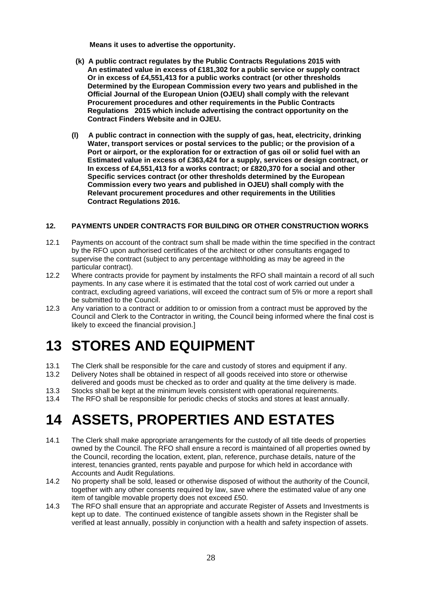**Means it uses to advertise the opportunity.**

- **(k) A public contract regulates by the Public Contracts Regulations 2015 with An estimated value in excess of £181,302 for a public service or supply contract Or in excess of £4,551,413 for a public works contract (or other thresholds Determined by the European Commission every two years and published in the Official Journal of the European Union (OJEU) shall comply with the relevant Procurement procedures and other requirements in the Public Contracts Regulations 2015 which include advertising the contract opportunity on the Contract Finders Website and in OJEU.**
- **(l) A public contract in connection with the supply of gas, heat, electricity, drinking Water, transport services or postal services to the public; or the provision of a Port or airport, or the exploration for or extraction of gas oil or solid fuel with an Estimated value in excess of £363,424 for a supply, services or design contract, or In excess of £4,551,413 for a works contract; or £820,370 for a social and other Specific services contract (or other thresholds determined by the European Commission every two years and published in OJEU) shall comply with the Relevant procurement procedures and other requirements in the Utilities Contract Regulations 2016.**

#### **12. PAYMENTS UNDER CONTRACTS FOR BUILDING OR OTHER CONSTRUCTION WORKS**

- 12.1 Payments on account of the contract sum shall be made within the time specified in the contract by the RFO upon authorised certificates of the architect or other consultants engaged to supervise the contract (subject to any percentage withholding as may be agreed in the particular contract).
- 12.2 Where contracts provide for payment by instalments the RFO shall maintain a record of all such payments. In any case where it is estimated that the total cost of work carried out under a contract, excluding agreed variations, will exceed the contract sum of 5% or more a report shall be submitted to the Council.
- 12.3 Any variation to a contract or addition to or omission from a contract must be approved by the Council and Clerk to the Contractor in writing, the Council being informed where the final cost is likely to exceed the financial provision.]

## **13 STORES AND EQUIPMENT**

13.1 The Clerk shall be responsible for the care and custody of stores and equipment if any.

- 13.2 Delivery Notes shall be obtained in respect of all goods received into store or otherwise delivered and goods must be checked as to order and quality at the time delivery is made.
- 13.3 Stocks shall be kept at the minimum levels consistent with operational requirements.
- 13.4 The RFO shall be responsible for periodic checks of stocks and stores at least annually.

# **14 ASSETS, PROPERTIES AND ESTATES**

- 14.1 The Clerk shall make appropriate arrangements for the custody of all title deeds of properties owned by the Council. The RFO shall ensure a record is maintained of all properties owned by the Council, recording the location, extent, plan, reference, purchase details, nature of the interest, tenancies granted, rents payable and purpose for which held in accordance with Accounts and Audit Regulations.
- 14.2 No property shall be sold, leased or otherwise disposed of without the authority of the Council, together with any other consents required by law, save where the estimated value of any one item of tangible movable property does not exceed £50.
- 14.3 The RFO shall ensure that an appropriate and accurate Register of Assets and Investments is kept up to date. The continued existence of tangible assets shown in the Register shall be verified at least annually, possibly in conjunction with a health and safety inspection of assets.